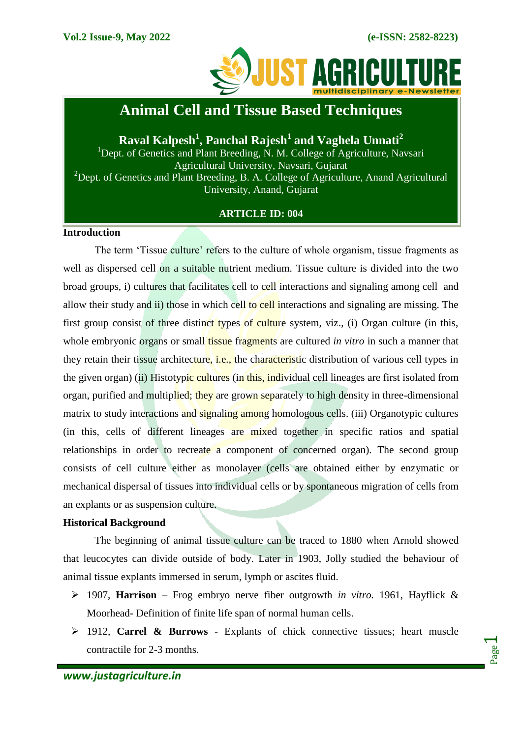

# **Animal Cell and Tissue Based Techniques**

**Raval Kalpesh<sup>1</sup> , Panchal Rajesh<sup>1</sup> and Vaghela Unnati<sup>2</sup>**

<sup>1</sup>Dept. of Genetics and Plant Breeding, N. M. College of Agriculture, Navsari Agricultural University, Navsari, Gujarat <sup>2</sup>Dept. of Genetics and Plant Breeding, B. A. College of Agriculture, Anand Agricultural University, Anand, Gujarat

## **ARTICLE ID: 004**

## **Introduction**

The term 'Tissue culture' refers to the culture of whole organism, tissue fragments as well as dispersed cell on a suitable nutrient medium. Tissue culture is divided into the two broad groups, i) cultures that facilitates cell to cell interactions and signaling among cell and allow their study and ii) those in which cell to cell interactions and signaling are missing. The first group consist of three distinct types of culture system, viz., (i) Organ culture (in this, whole embryonic organs or small tissue fragments are cultured *in vitro* in such a manner that they retain their tissue architecture, i.e., the characteristic distribution of various cell types in the given organ) (ii) Histotypic cultures (in this, individual cell lineages are first isolated from organ, purified and multiplied; they are grown separately to high density in three-dimensional matrix to study interactions and signaling among homologous cells. (iii) Organotypic cultures (in this, cells of different lineages are mixed together in specific ratios and spatial relationships in order to recreate a component of concerned organ). The second group consists of cell culture either as monolayer (cells are obtained either by enzymatic or mechanical dispersal of tissues into individual cells or by spontaneous migration of cells from an explants or as suspension culture.

# **Historical Background**

The beginning of animal tissue culture can be traced to 1880 when Arnold showed that leucocytes can divide outside of body. Later in 1903, Jolly studied the behaviour of animal tissue explants immersed in serum, lymph or ascites fluid.

- 1907, **Harrison** Frog embryo nerve fiber outgrowth *in vitro.* 1961, Hayflick & Moorhead- Definition of finite life span of normal human cells.
- 1912, **Carrel & Burrows** Explants of chick connective tissues; heart muscle contractile for 2-3 months.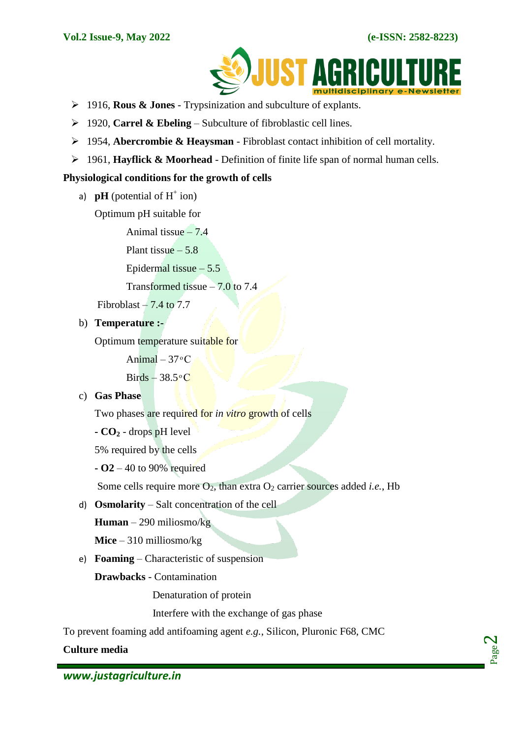

- 1916, **Rous & Jones** Trypsinization and subculture of explants.
- 1920, **Carrel & Ebeling** Subculture of fibroblastic cell lines.
- 1954, **Abercrombie & Heaysman** Fibroblast contact inhibition of cell mortality.
- 1961, **Hayflick & Moorhead**  Definition of finite life span of normal human cells.

## **Physiological conditions for the growth of cells**

a)  $\mathbf{p}$ **H** (potential of H<sup>+</sup> ion)

Optimum pH suitable for

Animal tissue  $-7.4$ 

Plant tissue  $-5.8$ 

Epidermal tissue  $-5.5$ 

Transformed tissue – 7.0 to 7.4

Fibroblast  $-7.4$  to  $7.7$ 

# b) **Temperature :-**

Optimum temperature suitable for

Animal  $-37$ °C

 $Birds - 38.5$ <sup>o</sup>C

## c) **Gas Phase**

Two phases are required for *in vitro* growth of cells

**- CO<sup>2</sup>** - drops pH level

5% required by the cells

**- O2** – 40 to 90% required

Some cells require more  $O_2$ , than extra  $O_2$  carrier sources added *i.e.*, Hb

d) **Osmolarity** – Salt concentration of the cell

**Human** – 290 miliosmo/kg

**Mice** – 310 milliosmo/kg

e) **Foaming** – Characteristic of suspension

**Drawbacks** - Contamination

Denaturation of protein

Interfere with the exchange of gas phase

To prevent foaming add antifoaming agent *e.g.*, Silicon, Pluronic F68, CMC

**Culture media**

Page  $\boldsymbol{\sim}$ 

*www.justagriculture.in*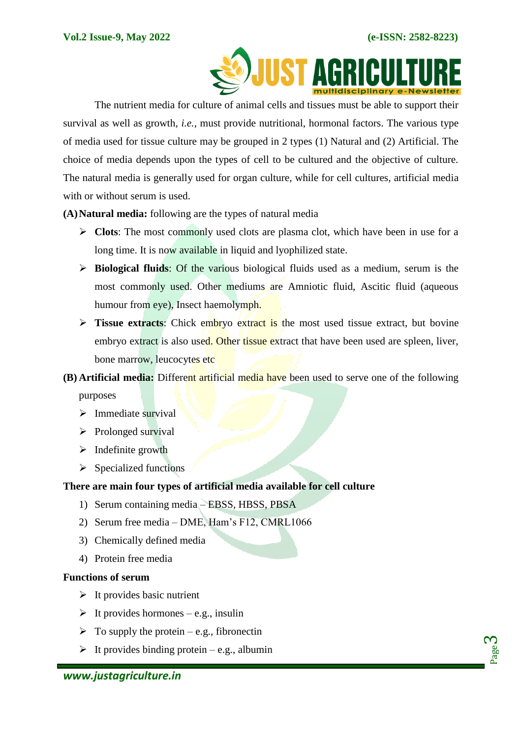

The nutrient media for culture of animal cells and tissues must be able to support their survival as well as growth, *i.e.*, must provide nutritional, hormonal factors. The various type of media used for tissue culture may be grouped in 2 types (1) Natural and (2) Artificial. The choice of media depends upon the types of cell to be cultured and the objective of culture. The natural media is generally used for organ culture, while for cell cultures, artificial media with or without serum is used.

**(A)Natural media:** following are the types of natural media

- **Clots**: The most commonly used clots are plasma clot, which have been in use for a long time. It is now available in liquid and lyophilized state.
- **Biological fluids**: Of the various biological fluids used as a medium, serum is the most commonly used. Other mediums are Amniotic fluid, Ascitic fluid (aqueous humour from eye), Insect haemolymph.
- **Tissue extracts:** Chick embryo extract is the most used tissue extract, but bovine embryo extract is also used. Other tissue extract that have been used are spleen, liver, bone marrow, leucocytes etc
- **(B) Artificial media:** Different artificial media have been used to serve one of the following purposes
	- $\triangleright$  Immediate survival
	- $\triangleright$  Prolonged survival
	- $\triangleright$  Indefinite growth
	- $\triangleright$  Specialized functions

# **There are main four types of artificial media available for cell culture**

- 1) Serum containing media EBSS, HBSS, PBSA
- 2) Serum free media DME, Ham's F12, CMRL1066
- 3) Chemically defined media
- 4) Protein free media

# **Functions of serum**

- $\triangleright$  It provides basic nutrient
- $\triangleright$  It provides hormones e.g., insulin
- $\triangleright$  To supply the protein e.g., fibronectin
- $\triangleright$  It provides binding protein e.g., albumin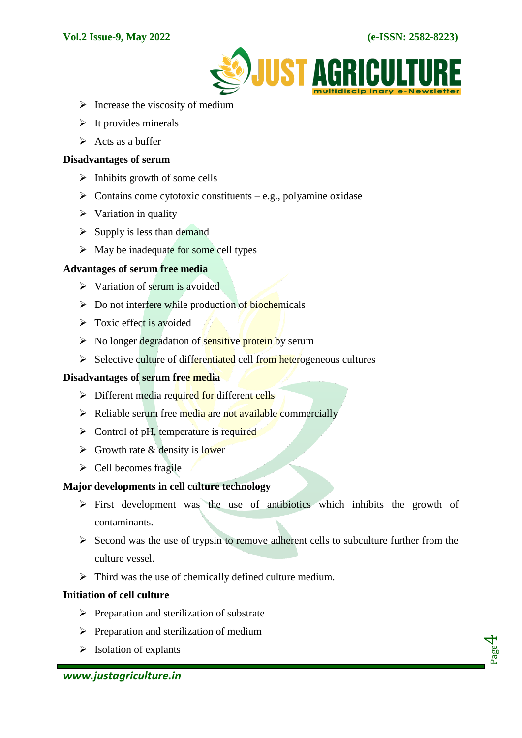

- $\triangleright$  Increase the viscosity of medium
- $\triangleright$  It provides minerals
- $\triangleright$  Acts as a buffer

#### **Disadvantages of serum**

- $\triangleright$  Inhibits growth of some cells
- $\triangleright$  Contains come cytotoxic constituents e.g., polyamine oxidase
- $\triangleright$  Variation in quality
- $\triangleright$  Supply is less than demand
- $\triangleright$  May be inadequate for some cell types

## **Advantages of serum free media**

- $\triangleright$  Variation of serum is avoided
- $\triangleright$  Do not interfere while production of biochemicals
- $\triangleright$  Toxic effect is avoided
- $\triangleright$  No longer degradation of sensitive protein by serum
- $\triangleright$  Selective culture of differentiated cell from heterogeneous cultures

## **Disadvantages of serum free media**

- $\triangleright$  Different media required for different cells
- $\triangleright$  Reliable serum free media are not available commercially
- $\triangleright$  Control of pH, temperature is required
- $\triangleright$  Growth rate & density is lower
- $\triangleright$  Cell becomes fragile

## **Major developments in cell culture technology**

- $\triangleright$  First development was the use of antibiotics which inhibits the growth of contaminants.
- $\triangleright$  Second was the use of trypsin to remove adherent cells to subculture further from the culture vessel.
- $\triangleright$  Third was the use of chemically defined culture medium.

## **Initiation of cell culture**

- $\triangleright$  Preparation and sterilization of substrate
- $\triangleright$  Preparation and sterilization of medium
- $\triangleright$  Isolation of explants

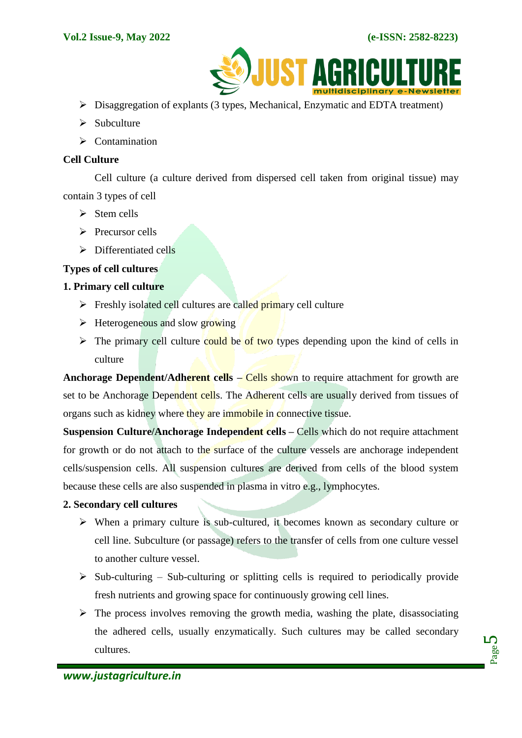

- $\triangleright$  Disaggregation of explants (3 types, Mechanical, Enzymatic and EDTA treatment)
- $\triangleright$  Subculture
- $\triangleright$  Contamination

## **Cell Culture**

Cell culture (a culture derived from dispersed cell taken from original tissue) may contain 3 types of cell

- $\triangleright$  Stem cells
- $\triangleright$  Precursor cells
- $\triangleright$  Differentiated cells

## **Types of cell cultures**

## **1. Primary cell culture**

- $\triangleright$  Freshly isolated cell cultures are called primary cell culture
- $\triangleright$  Heterogeneous and slow growing
- $\triangleright$  The primary cell culture could be of two types depending upon the kind of cells in culture

**Anchorage Dependent/Adherent cells – Cells shown to require attachment for growth are** set to be Anchorage Dependent cells. The Adherent cells are usually derived from tissues of organs such as kidney where they are immobile in connective tissue.

**Suspension Culture/Anchorage Independent cells – Cells which do not require attachment** for growth or do not attach to the surface of the culture vessels are anchorage independent cells/suspension cells. All suspension cultures are derived from cells of the blood system because these cells are also suspended in plasma in vitro e.g., lymphocytes.

# **2. Secondary cell cultures**

- $\triangleright$  When a primary culture is sub-cultured, it becomes known as secondary culture or cell line. Subculture (or passage) refers to the transfer of cells from one culture vessel to another culture vessel.
- $\triangleright$  Sub-culturing Sub-culturing or splitting cells is required to periodically provide fresh nutrients and growing space for continuously growing cell lines.
- $\triangleright$  The process involves removing the growth media, washing the plate, disassociating the adhered cells, usually enzymatically. Such cultures may be called secondary cultures.

Page ம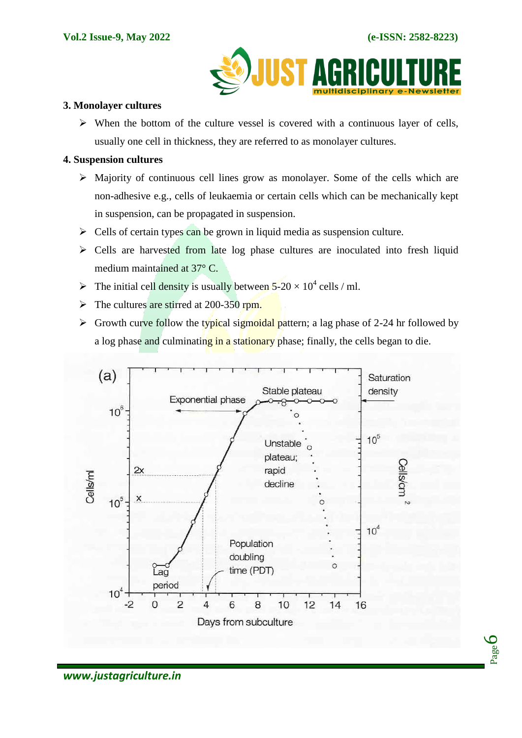

## **3. Monolayer cultures**

 $\triangleright$  When the bottom of the culture vessel is covered with a continuous layer of cells, usually one cell in thickness, they are referred to as monolayer cultures.

## **4. Suspension cultures**

- $\triangleright$  Majority of continuous cell lines grow as monolayer. Some of the cells which are non-adhesive e.g., cells of leukaemia or certain cells which can be mechanically kept in suspension, can be propagated in suspension.
- $\triangleright$  Cells of certain types can be grown in liquid media as suspension culture.
- Cells are harvested from late log phase cultures are inoculated into fresh liquid medium maintained at 37° C.
- The initial cell density is usually between  $5-20 \times 10^4$  cells / ml.
- $\triangleright$  The cultures are stirred at 200-350 rpm.
- $\triangleright$  Growth curve follow the typical sigmoidal pattern; a lag phase of 2-24 hr followed by a log phase and culminating in a stationary phase; finally, the cells began to die.

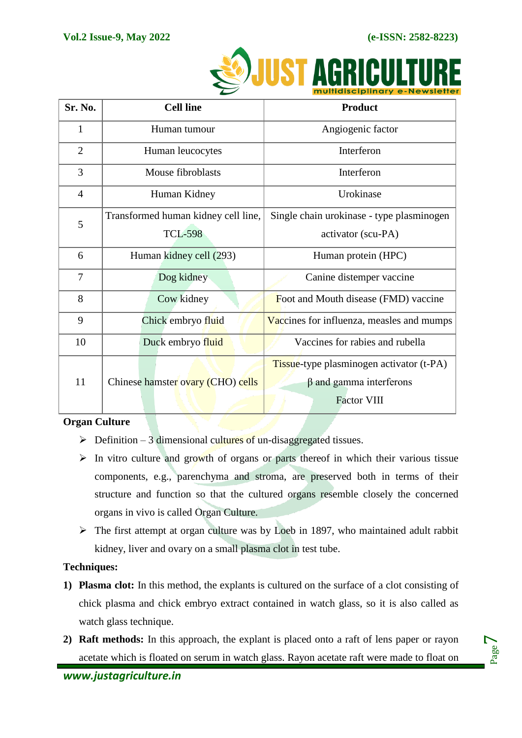

|                | ~                                   | <u>INDINUSCIPINIUTY E-NEWSIELIE</u>       |
|----------------|-------------------------------------|-------------------------------------------|
| Sr. No.        | <b>Cell line</b>                    | <b>Product</b>                            |
| $\mathbf{1}$   | Human tumour                        | Angiogenic factor                         |
| $\overline{2}$ | Human leucocytes                    | Interferon                                |
| 3              | Mouse fibroblasts                   | Interferon                                |
| $\overline{4}$ | Human Kidney                        | Urokinase                                 |
| 5              | Transformed human kidney cell line, | Single chain urokinase - type plasminogen |
|                | <b>TCL-598</b>                      | activator (scu-PA)                        |
| 6              | Human kidney cell (293)             | Human protein (HPC)                       |
| $\overline{7}$ | Dog kidney                          | Canine distemper vaccine                  |
| 8              | Cow kidney                          | Foot and Mouth disease (FMD) vaccine      |
| 9              | Chick embryo fluid                  | Vaccines for influenza, measles and mumps |
| 10             | Duck embryo fluid                   | Vaccines for rabies and rubella           |
| 11             |                                     | Tissue-type plasminogen activator (t-PA)  |
|                | Chinese hamster ovary (CHO) cells   | $\beta$ and gamma interferons             |
|                |                                     | <b>Factor VIII</b>                        |

# **Organ Culture**

- $\triangleright$  Definition 3 dimensional cultures of un-disaggregated tissues.
- $\triangleright$  In vitro culture and growth of organs or parts thereof in which their various tissue components, e.g., parenchyma and stroma, are preserved both in terms of their structure and function so that the cultured organs resemble closely the concerned organs in vivo is called Organ Culture.
- $\triangleright$  The first attempt at organ culture was by Loeb in 1897, who maintained adult rabbit kidney, liver and ovary on a small plasma clot in test tube.

# **Techniques:**

- **1) Plasma clot:** In this method, the explants is cultured on the surface of a clot consisting of chick plasma and chick embryo extract contained in watch glass, so it is also called as watch glass technique.
- **2) Raft methods:** In this approach, the explant is placed onto a raft of lens paper or rayon acetate which is floated on serum in watch glass. Rayon acetate raft were made to float on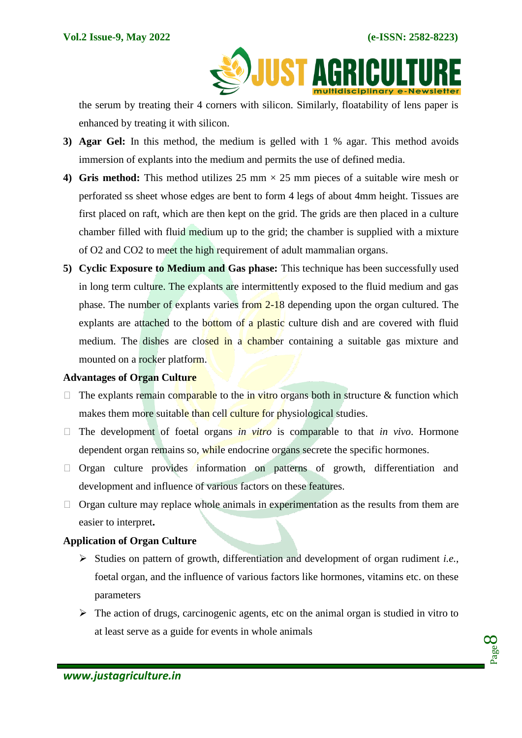**SOUIST AGRICULTU** 

the serum by treating their 4 corners with silicon. Similarly, floatability of lens paper is enhanced by treating it with silicon.

- **3) Agar Gel:** In this method, the medium is gelled with 1 % agar. This method avoids immersion of explants into the medium and permits the use of defined media.
- **4) Gris method:** This method utilizes 25 mm  $\times$  25 mm pieces of a suitable wire mesh or perforated ss sheet whose edges are bent to form 4 legs of about 4mm height. Tissues are first placed on raft, which are then kept on the grid. The grids are then placed in a culture chamber filled with fluid medium up to the grid; the chamber is supplied with a mixture of O2 and CO2 to meet the high requirement of adult mammalian organs.
- **5) Cyclic Exposure to Medium and Gas phase:** This technique has been successfully used in long term culture. The explants are intermittently exposed to the fluid medium and gas phase. The number of explants varies from 2-18 depending upon the organ cultured. The explants are attached to the bottom of a plastic culture dish and are covered with fluid medium. The dishes are closed in a chamber containing a suitable gas mixture and mounted on a rocker platform.

# **Advantages of Organ Culture**

- $\Box$  The explants remain comparable to the in vitro organs both in structure & function which makes them more suitable than cell culture for physiological studies.
- $\Box$  The development of foetal organs *in vitro* is comparable to that *in vivo*. Hormone dependent organ remains so, while endocrine organs secrete the specific hormones.
- $\Box$  Organ culture provides information on patterns of growth, differentiation and development and influence of various factors on these features.
- $\Box$  Organ culture may replace whole animals in experimentation as the results from them are easier to interpret**.**

# **Application of Organ Culture**

- Studies on pattern of growth, differentiation and development of organ rudiment *i.e.*, foetal organ, and the influence of various factors like hormones, vitamins etc. on these parameters
- $\triangleright$  The action of drugs, carcinogenic agents, etc on the animal organ is studied in vitro to at least serve as a guide for events in whole animals